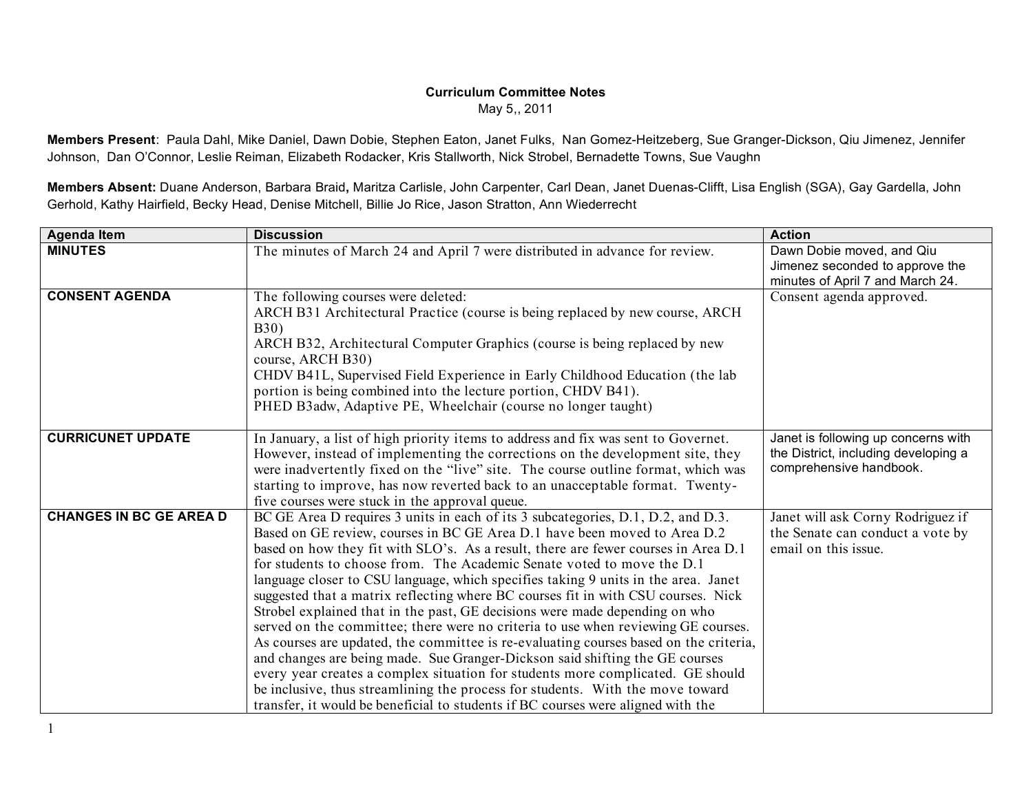## **Curriculum Committee Notes**

May 5,, 2011

**Members Present**: Paula Dahl, Mike Daniel, Dawn Dobie, Stephen Eaton, Janet Fulks, Nan Gomez-Heitzeberg, Sue Granger-Dickson, Qiu Jimenez, Jennifer Johnson, Dan O'Connor, Leslie Reiman, Elizabeth Rodacker, Kris Stallworth, Nick Strobel, Bernadette Towns, Sue Vaughn

**Members Absent:** Duane Anderson, Barbara Braid**,** Maritza Carlisle, John Carpenter, Carl Dean, Janet Duenas-Clifft, Lisa English (SGA), Gay Gardella, John Gerhold, Kathy Hairfield, Becky Head, Denise Mitchell, Billie Jo Rice, Jason Stratton, Ann Wiederrecht

| The minutes of March 24 and April 7 were distributed in advance for review.<br>Dawn Dobie moved, and Qiu<br>Jimenez seconded to approve the<br>minutes of April 7 and March 24.<br>The following courses were deleted:<br>Consent agenda approved.<br>ARCH B31 Architectural Practice (course is being replaced by new course, ARCH<br><b>B30</b> )<br>ARCH B32, Architectural Computer Graphics (course is being replaced by new<br>course, ARCH B30)<br>CHDV B41L, Supervised Field Experience in Early Childhood Education (the lab<br>portion is being combined into the lecture portion, CHDV B41).<br>PHED B3adw, Adaptive PE, Wheelchair (course no longer taught)<br><b>CURRICUNET UPDATE</b><br>Janet is following up concerns with<br>In January, a list of high priority items to address and fix was sent to Governet.<br>the District, including developing a<br>However, instead of implementing the corrections on the development site, they<br>comprehensive handbook.<br>were inadvertently fixed on the "live" site. The course outline format, which was<br>starting to improve, has now reverted back to an unacceptable format. Twenty- | <b>Agenda Item</b>             | <b>Discussion</b>                              | <b>Action</b> |
|---------------------------------------------------------------------------------------------------------------------------------------------------------------------------------------------------------------------------------------------------------------------------------------------------------------------------------------------------------------------------------------------------------------------------------------------------------------------------------------------------------------------------------------------------------------------------------------------------------------------------------------------------------------------------------------------------------------------------------------------------------------------------------------------------------------------------------------------------------------------------------------------------------------------------------------------------------------------------------------------------------------------------------------------------------------------------------------------------------------------------------------------------------------|--------------------------------|------------------------------------------------|---------------|
|                                                                                                                                                                                                                                                                                                                                                                                                                                                                                                                                                                                                                                                                                                                                                                                                                                                                                                                                                                                                                                                                                                                                                               | <b>MINUTES</b>                 |                                                |               |
|                                                                                                                                                                                                                                                                                                                                                                                                                                                                                                                                                                                                                                                                                                                                                                                                                                                                                                                                                                                                                                                                                                                                                               |                                |                                                |               |
|                                                                                                                                                                                                                                                                                                                                                                                                                                                                                                                                                                                                                                                                                                                                                                                                                                                                                                                                                                                                                                                                                                                                                               | <b>CONSENT AGENDA</b>          |                                                |               |
|                                                                                                                                                                                                                                                                                                                                                                                                                                                                                                                                                                                                                                                                                                                                                                                                                                                                                                                                                                                                                                                                                                                                                               |                                |                                                |               |
|                                                                                                                                                                                                                                                                                                                                                                                                                                                                                                                                                                                                                                                                                                                                                                                                                                                                                                                                                                                                                                                                                                                                                               |                                |                                                |               |
|                                                                                                                                                                                                                                                                                                                                                                                                                                                                                                                                                                                                                                                                                                                                                                                                                                                                                                                                                                                                                                                                                                                                                               |                                |                                                |               |
|                                                                                                                                                                                                                                                                                                                                                                                                                                                                                                                                                                                                                                                                                                                                                                                                                                                                                                                                                                                                                                                                                                                                                               |                                |                                                |               |
|                                                                                                                                                                                                                                                                                                                                                                                                                                                                                                                                                                                                                                                                                                                                                                                                                                                                                                                                                                                                                                                                                                                                                               |                                |                                                |               |
|                                                                                                                                                                                                                                                                                                                                                                                                                                                                                                                                                                                                                                                                                                                                                                                                                                                                                                                                                                                                                                                                                                                                                               |                                |                                                |               |
|                                                                                                                                                                                                                                                                                                                                                                                                                                                                                                                                                                                                                                                                                                                                                                                                                                                                                                                                                                                                                                                                                                                                                               |                                |                                                |               |
|                                                                                                                                                                                                                                                                                                                                                                                                                                                                                                                                                                                                                                                                                                                                                                                                                                                                                                                                                                                                                                                                                                                                                               |                                |                                                |               |
|                                                                                                                                                                                                                                                                                                                                                                                                                                                                                                                                                                                                                                                                                                                                                                                                                                                                                                                                                                                                                                                                                                                                                               |                                |                                                |               |
|                                                                                                                                                                                                                                                                                                                                                                                                                                                                                                                                                                                                                                                                                                                                                                                                                                                                                                                                                                                                                                                                                                                                                               |                                |                                                |               |
|                                                                                                                                                                                                                                                                                                                                                                                                                                                                                                                                                                                                                                                                                                                                                                                                                                                                                                                                                                                                                                                                                                                                                               |                                |                                                |               |
|                                                                                                                                                                                                                                                                                                                                                                                                                                                                                                                                                                                                                                                                                                                                                                                                                                                                                                                                                                                                                                                                                                                                                               |                                | five courses were stuck in the approval queue. |               |
| BC GE Area D requires 3 units in each of its 3 subcategories, D.1, D.2, and D.3.<br>Janet will ask Corny Rodriguez if                                                                                                                                                                                                                                                                                                                                                                                                                                                                                                                                                                                                                                                                                                                                                                                                                                                                                                                                                                                                                                         | <b>CHANGES IN BC GE AREA D</b> |                                                |               |
| Based on GE review, courses in BC GE Area D.1 have been moved to Area D.2<br>the Senate can conduct a vote by                                                                                                                                                                                                                                                                                                                                                                                                                                                                                                                                                                                                                                                                                                                                                                                                                                                                                                                                                                                                                                                 |                                |                                                |               |
| email on this issue.<br>based on how they fit with SLO's. As a result, there are fewer courses in Area D.1                                                                                                                                                                                                                                                                                                                                                                                                                                                                                                                                                                                                                                                                                                                                                                                                                                                                                                                                                                                                                                                    |                                |                                                |               |
| for students to choose from. The Academic Senate voted to move the D.1                                                                                                                                                                                                                                                                                                                                                                                                                                                                                                                                                                                                                                                                                                                                                                                                                                                                                                                                                                                                                                                                                        |                                |                                                |               |
| language closer to CSU language, which specifies taking 9 units in the area. Janet                                                                                                                                                                                                                                                                                                                                                                                                                                                                                                                                                                                                                                                                                                                                                                                                                                                                                                                                                                                                                                                                            |                                |                                                |               |
| suggested that a matrix reflecting where BC courses fit in with CSU courses. Nick                                                                                                                                                                                                                                                                                                                                                                                                                                                                                                                                                                                                                                                                                                                                                                                                                                                                                                                                                                                                                                                                             |                                |                                                |               |
| Strobel explained that in the past, GE decisions were made depending on who                                                                                                                                                                                                                                                                                                                                                                                                                                                                                                                                                                                                                                                                                                                                                                                                                                                                                                                                                                                                                                                                                   |                                |                                                |               |
| served on the committee; there were no criteria to use when reviewing GE courses.                                                                                                                                                                                                                                                                                                                                                                                                                                                                                                                                                                                                                                                                                                                                                                                                                                                                                                                                                                                                                                                                             |                                |                                                |               |
| As courses are updated, the committee is re-evaluating courses based on the criteria,                                                                                                                                                                                                                                                                                                                                                                                                                                                                                                                                                                                                                                                                                                                                                                                                                                                                                                                                                                                                                                                                         |                                |                                                |               |
| and changes are being made. Sue Granger-Dickson said shifting the GE courses<br>every year creates a complex situation for students more complicated. GE should                                                                                                                                                                                                                                                                                                                                                                                                                                                                                                                                                                                                                                                                                                                                                                                                                                                                                                                                                                                               |                                |                                                |               |
| be inclusive, thus streamlining the process for students. With the move toward                                                                                                                                                                                                                                                                                                                                                                                                                                                                                                                                                                                                                                                                                                                                                                                                                                                                                                                                                                                                                                                                                |                                |                                                |               |
| transfer, it would be beneficial to students if BC courses were aligned with the                                                                                                                                                                                                                                                                                                                                                                                                                                                                                                                                                                                                                                                                                                                                                                                                                                                                                                                                                                                                                                                                              |                                |                                                |               |

1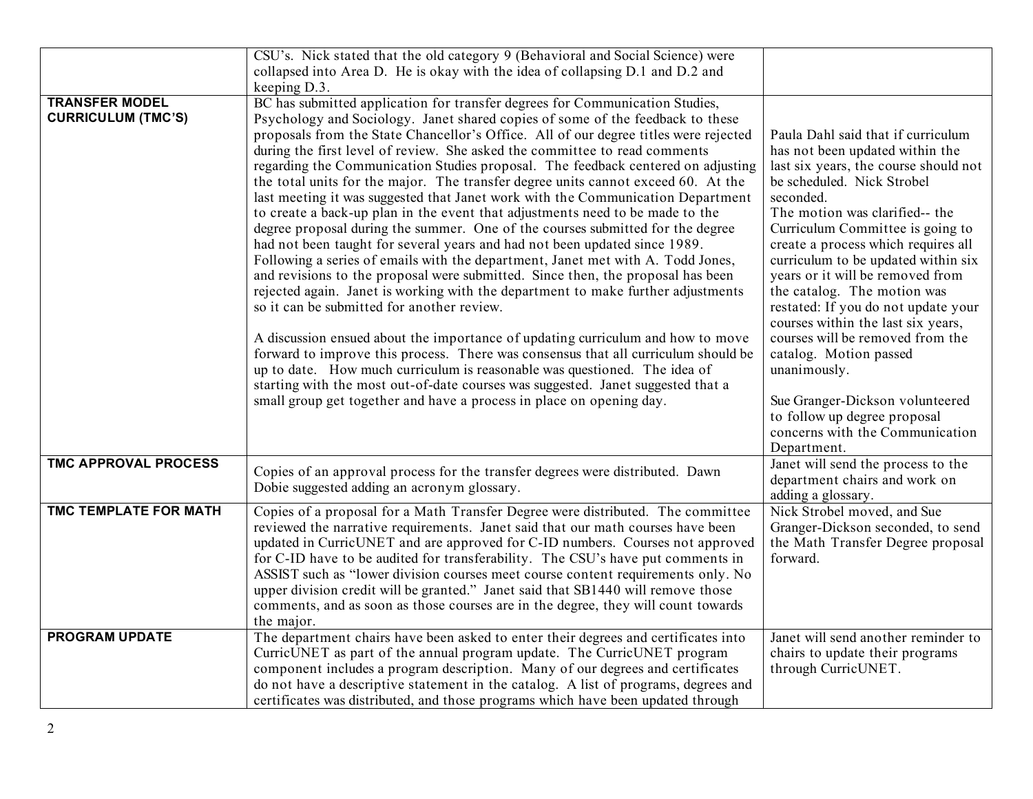|                                                    | CSU's. Nick stated that the old category 9 (Behavioral and Social Science) were                                                                                                                                                                                                                                                                                                                                                                                                                                                                                                                                                                                                                                                                                                                                                                                                                                                                                                                                                                                                                                                                                                                                                                                                                                                                                                                                                                                                                                                                                             |                                                                                                                                                                                                                                                                                                                                                                                                                                                                                                                                                                                                                                                   |
|----------------------------------------------------|-----------------------------------------------------------------------------------------------------------------------------------------------------------------------------------------------------------------------------------------------------------------------------------------------------------------------------------------------------------------------------------------------------------------------------------------------------------------------------------------------------------------------------------------------------------------------------------------------------------------------------------------------------------------------------------------------------------------------------------------------------------------------------------------------------------------------------------------------------------------------------------------------------------------------------------------------------------------------------------------------------------------------------------------------------------------------------------------------------------------------------------------------------------------------------------------------------------------------------------------------------------------------------------------------------------------------------------------------------------------------------------------------------------------------------------------------------------------------------------------------------------------------------------------------------------------------------|---------------------------------------------------------------------------------------------------------------------------------------------------------------------------------------------------------------------------------------------------------------------------------------------------------------------------------------------------------------------------------------------------------------------------------------------------------------------------------------------------------------------------------------------------------------------------------------------------------------------------------------------------|
|                                                    | collapsed into Area D. He is okay with the idea of collapsing D.1 and D.2 and                                                                                                                                                                                                                                                                                                                                                                                                                                                                                                                                                                                                                                                                                                                                                                                                                                                                                                                                                                                                                                                                                                                                                                                                                                                                                                                                                                                                                                                                                               |                                                                                                                                                                                                                                                                                                                                                                                                                                                                                                                                                                                                                                                   |
|                                                    | keeping D.3.                                                                                                                                                                                                                                                                                                                                                                                                                                                                                                                                                                                                                                                                                                                                                                                                                                                                                                                                                                                                                                                                                                                                                                                                                                                                                                                                                                                                                                                                                                                                                                |                                                                                                                                                                                                                                                                                                                                                                                                                                                                                                                                                                                                                                                   |
| <b>TRANSFER MODEL</b><br><b>CURRICULUM (TMC'S)</b> | BC has submitted application for transfer degrees for Communication Studies,<br>Psychology and Sociology. Janet shared copies of some of the feedback to these<br>proposals from the State Chancellor's Office. All of our degree titles were rejected<br>during the first level of review. She asked the committee to read comments<br>regarding the Communication Studies proposal. The feedback centered on adjusting<br>the total units for the major. The transfer degree units cannot exceed 60. At the<br>last meeting it was suggested that Janet work with the Communication Department<br>to create a back-up plan in the event that adjustments need to be made to the<br>degree proposal during the summer. One of the courses submitted for the degree<br>had not been taught for several years and had not been updated since 1989.<br>Following a series of emails with the department, Janet met with A. Todd Jones,<br>and revisions to the proposal were submitted. Since then, the proposal has been<br>rejected again. Janet is working with the department to make further adjustments<br>so it can be submitted for another review.<br>A discussion ensued about the importance of updating curriculum and how to move<br>forward to improve this process. There was consensus that all curriculum should be<br>up to date. How much curriculum is reasonable was questioned. The idea of<br>starting with the most out-of-date courses was suggested. Janet suggested that a<br>small group get together and have a process in place on opening day. | Paula Dahl said that if curriculum<br>has not been updated within the<br>last six years, the course should not<br>be scheduled. Nick Strobel<br>seconded.<br>The motion was clarified-- the<br>Curriculum Committee is going to<br>create a process which requires all<br>curriculum to be updated within six<br>years or it will be removed from<br>the catalog. The motion was<br>restated: If you do not update your<br>courses within the last six years,<br>courses will be removed from the<br>catalog. Motion passed<br>unanimously.<br>Sue Granger-Dickson volunteered<br>to follow up degree proposal<br>concerns with the Communication |
| <b>TMC APPROVAL PROCESS</b>                        | Copies of an approval process for the transfer degrees were distributed. Dawn<br>Dobie suggested adding an acronym glossary.                                                                                                                                                                                                                                                                                                                                                                                                                                                                                                                                                                                                                                                                                                                                                                                                                                                                                                                                                                                                                                                                                                                                                                                                                                                                                                                                                                                                                                                | Department.<br>Janet will send the process to the<br>department chairs and work on<br>adding a glossary.                                                                                                                                                                                                                                                                                                                                                                                                                                                                                                                                          |
| <b>TMC TEMPLATE FOR MATH</b>                       | Copies of a proposal for a Math Transfer Degree were distributed. The committee<br>reviewed the narrative requirements. Janet said that our math courses have been<br>updated in CurricUNET and are approved for C-ID numbers. Courses not approved<br>for C-ID have to be audited for transferability. The CSU's have put comments in<br>ASSIST such as "lower division courses meet course content requirements only. No<br>upper division credit will be granted." Janet said that SB1440 will remove those<br>comments, and as soon as those courses are in the degree, they will count towards<br>the major.                                                                                                                                                                                                                                                                                                                                                                                                                                                                                                                                                                                                                                                                                                                                                                                                                                                                                                                                                           | Nick Strobel moved, and Sue<br>Granger-Dickson seconded, to send<br>the Math Transfer Degree proposal<br>forward.                                                                                                                                                                                                                                                                                                                                                                                                                                                                                                                                 |
| <b>PROGRAM UPDATE</b>                              | The department chairs have been asked to enter their degrees and certificates into<br>CurricUNET as part of the annual program update. The CurricUNET program<br>component includes a program description. Many of our degrees and certificates<br>do not have a descriptive statement in the catalog. A list of programs, degrees and<br>certificates was distributed, and those programs which have been updated through                                                                                                                                                                                                                                                                                                                                                                                                                                                                                                                                                                                                                                                                                                                                                                                                                                                                                                                                                                                                                                                                                                                                                  | Janet will send another reminder to<br>chairs to update their programs<br>through CurricUNET.                                                                                                                                                                                                                                                                                                                                                                                                                                                                                                                                                     |